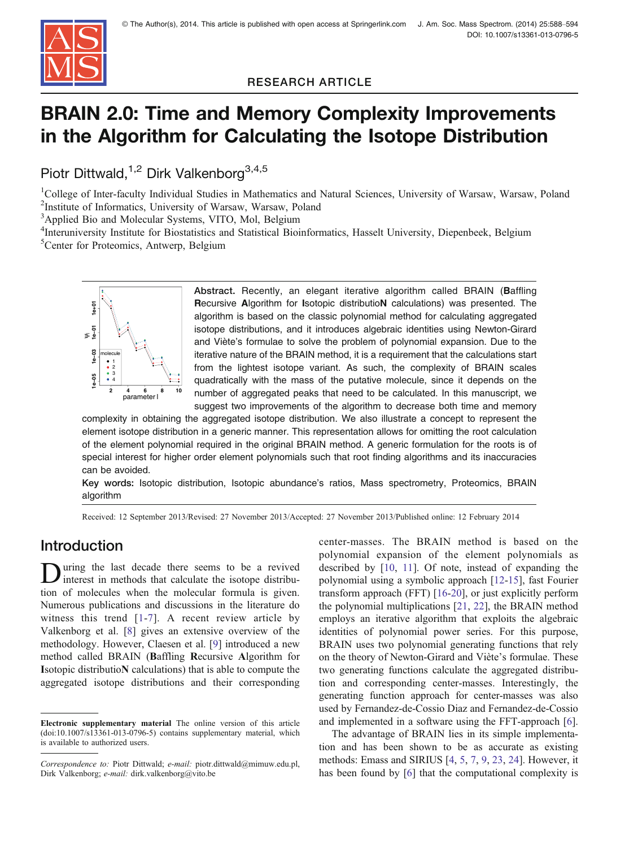

RESEARCH ARTICLE

# BRAIN 2.0: Time and Memory Complexity Improvements in the Algorithm for Calculating the Isotope Distribution

Piotr Dittwald,<sup>1,2</sup> Dirk Valkenborg<sup>3,4,5</sup>

<sup>1</sup>College of Inter-faculty Individual Studies in Mathematics and Natural Sciences, University of Warsaw, Warsaw, Poland 2 Institute of Informatics, University of Warsaw, Warsaw, Poland

<sup>3</sup>Applied Bio and Molecular Systems, VITO, Mol, Belgium

4 Interuniversity Institute for Biostatistics and Statistical Bioinformatics, Hasselt University, Diepenbeek, Belgium 5 Center for Proteomics, Antwerp, Belgium



Abstract. Recently, an elegant iterative algorithm called BRAIN (Baffling Recursive Algorithm for Isotopic distributioN calculations) was presented. The algorithm is based on the classic polynomial method for calculating aggregated isotope distributions, and it introduces algebraic identities using Newton-Girard and Viète's formulae to solve the problem of polynomial expansion. Due to the iterative nature of the BRAIN method, it is a requirement that the calculations start from the lightest isotope variant. As such, the complexity of BRAIN scales quadratically with the mass of the putative molecule, since it depends on the number of aggregated peaks that need to be calculated. In this manuscript, we suggest two improvements of the algorithm to decrease both time and memory

complexity in obtaining the aggregated isotope distribution. We also illustrate a concept to represent the element isotope distribution in a generic manner. This representation allows for omitting the root calculation of the element polynomial required in the original BRAIN method. A generic formulation for the roots is of special interest for higher order element polynomials such that root finding algorithms and its inaccuracies can be avoided.

Key words: Isotopic distribution, Isotopic abundance's ratios, Mass spectrometry, Proteomics, BRAIN algorithm

Received: 12 September 2013/Revised: 27 November 2013/Accepted: 27 November 2013/Published online: 12 February 2014

# Introduction

uring the last decade there seems to be a revived interest in methods that calculate the isotope distribution of molecules when the molecular formula is given. Numerous publications and discussions in the literature do witness this trend [[1](#page-6-0)-[7](#page-6-0)]. A recent review article by Valkenborg et al. [[8\]](#page-6-0) gives an extensive overview of the methodology. However, Claesen et al. [[9\]](#page-6-0) introduced a new method called BRAIN (Baffling Recursive Algorithm for Isotopic distributioN calculations) that is able to compute the aggregated isotope distributions and their corresponding center-masses. The BRAIN method is based on the polynomial expansion of the element polynomials as described by [[10,](#page-6-0) [11\]](#page-6-0). Of note, instead of expanding the polynomial using a symbolic approach [\[12-15](#page-6-0)], fast Fourier transform approach (FFT) [[16-20](#page-6-0)], or just explicitly perform the polynomial multiplications [[21,](#page-6-0) [22](#page-6-0)], the BRAIN method employs an iterative algorithm that exploits the algebraic identities of polynomial power series. For this purpose, BRAIN uses two polynomial generating functions that rely on the theory of Newton-Girard and Viète's formulae. These two generating functions calculate the aggregated distribution and corresponding center-masses. Interestingly, the generating function approach for center-masses was also used by Fernandez-de-Cossio Diaz and Fernandez-de-Cossio and implemented in a software using the FFT-approach [\[6](#page-6-0)].

The advantage of BRAIN lies in its simple implementation and has been shown to be as accurate as existing methods: Emass and SIRIUS [\[4](#page-6-0), [5](#page-6-0), [7,](#page-6-0) [9,](#page-6-0) [23,](#page-6-0) [24\]](#page-6-0). However, it has been found by [[6\]](#page-6-0) that the computational complexity is

Electronic supplementary material The online version of this article (doi:[10.1007/s13361-013-0796-5](http://dx.doi.org/10.1007/s13361-013-0796-5)) contains supplementary material, which is available to authorized users.

Correspondence to: Piotr Dittwald; e-mail: piotr.dittwald@mimuw.edu.pl, Dirk Valkenborg; e-mail: dirk.valkenborg@vito.be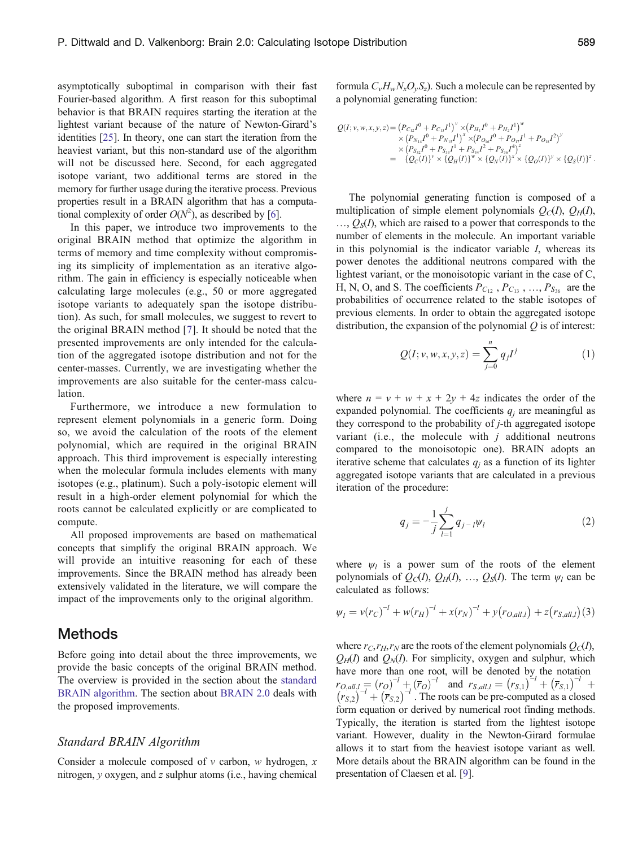<span id="page-1-0"></span>asymptotically suboptimal in comparison with their fast Fourier-based algorithm. A first reason for this suboptimal behavior is that BRAIN requires starting the iteration at the lightest variant because of the nature of Newton-Girard's identities [\[25](#page-6-0)]. In theory, one can start the iteration from the heaviest variant, but this non-standard use of the algorithm will not be discussed here. Second, for each aggregated isotope variant, two additional terms are stored in the memory for further usage during the iterative process. Previous properties result in a BRAIN algorithm that has a computational complexity of order  $O(N^2)$ , as described by [[6\]](#page-6-0).

In this paper, we introduce two improvements to the original BRAIN method that optimize the algorithm in terms of memory and time complexity without compromising its simplicity of implementation as an iterative algorithm. The gain in efficiency is especially noticeable when calculating large molecules (e.g., 50 or more aggregated isotope variants to adequately span the isotope distribution). As such, for small molecules, we suggest to revert to the original BRAIN method [\[7\]](#page-6-0). It should be noted that the presented improvements are only intended for the calculation of the aggregated isotope distribution and not for the center-masses. Currently, we are investigating whether the improvements are also suitable for the center-mass calculation.

Furthermore, we introduce a new formulation to represent element polynomials in a generic form. Doing so, we avoid the calculation of the roots of the element polynomial, which are required in the original BRAIN approach. This third improvement is especially interesting when the molecular formula includes elements with many isotopes (e.g., platinum). Such a poly-isotopic element will result in a high-order element polynomial for which the roots cannot be calculated explicitly or are complicated to compute.

All proposed improvements are based on mathematical concepts that simplify the original BRAIN approach. We will provide an intuitive reasoning for each of these improvements. Since the BRAIN method has already been extensively validated in the literature, we will compare the impact of the improvements only to the original algorithm.

#### Methods

Before going into detail about the three improvements, we provide the basic concepts of the original BRAIN method. The overview is provided in the section about the standard BRAIN algorithm. The section about [BRAIN 2.0](#page-2-0) deals with the proposed improvements.

#### Standard BRAIN Algorithm

Consider a molecule composed of  $v$  carbon, w hydrogen, x nitrogen, y oxygen, and z sulphur atoms (i.e., having chemical formula  $C_vH_wN_xO_vS_z$ ). Such a molecule can be represented by a polynomial generating function:

$$
Q(I; v, w, x, y, z) = (P_{C_{12}}I^0 + P_{C_{13}}I^1)^{v} \times (P_{H_1}I^0 + P_{H_2}I^1)^{w}
$$
  
\n
$$
\times (P_{N_{14}}I^0 + P_{N_{15}}I^1)^{x} \times (P_{O_{16}}I^0 + P_{O_17}I^1 + P_{O_{18}}I^2)^{y}
$$
  
\n
$$
\times (P_{S_{32}}I^0 + P_{S_{34}}I^1 + P_{S_{34}}I^2 + P_{S_{36}}I^4)^{z}
$$
  
\n
$$
= \{Q_C(I)\}^{v} \times \{Q_H(I)\}^{w} \times \{Q_N(I)\}^{x} \times \{Q_O(I)\}^{y} \times \{Q_S(I)\}^{z}.
$$

The polynomial generating function is composed of a multiplication of simple element polynomials  $Q_C(I)$ ,  $Q_H(I)$ ,  $\ldots$ ,  $\mathcal{O}_S(I)$ , which are raised to a power that corresponds to the number of elements in the molecule. An important variable in this polynomial is the indicator variable I, whereas its power denotes the additional neutrons compared with the lightest variant, or the monoisotopic variant in the case of C, H, N, O, and S. The coefficients  $P_{C_{12}}$ ,  $P_{C_{13}}$ , ...,  $P_{S_{36}}$  are the probabilities of occurrence related to the stable isotopes of previous elements. In order to obtain the aggregated isotope distribution, the expansion of the polynomial  $Q$  is of interest:

$$
Q(I; v, w, x, y, z) = \sum_{j=0}^{n} q_j I^j
$$
 (1)

where  $n = v + w + x + 2y + 4z$  indicates the order of the expanded polynomial. The coefficients  $q_i$  are meaningful as they correspond to the probability of j-th aggregated isotope variant (i.e., the molecule with  $j$  additional neutrons compared to the monoisotopic one). BRAIN adopts an iterative scheme that calculates  $q_i$  as a function of its lighter aggregated isotope variants that are calculated in a previous iteration of the procedure:

$$
q_j = -\frac{1}{j} \sum_{l=1}^j q_{j-l} \psi_l
$$
 (2)

where  $\psi_l$  is a power sum of the roots of the element polynomials of  $Q_C(I), Q_H(I), ..., Q_S(I)$ . The term  $\psi_l$  can be calculated as follows:

$$
\psi_l = v(r_C)^{-l} + w(r_H)^{-l} + x(r_N)^{-l} + y(r_{O,all,l}) + z(r_{S,all,l})(3)
$$

where  $r_C, r_H, r_N$  are the roots of the element polynomials  $Q_C(I)$ ,  $Q_H(I)$  and  $Q_M(I)$ . For simplicity, oxygen and sulphur, which have more than one root, will be denoted by the notation  $r_{O,all,l} = (r_O)^{-l} + (\bar{r}_O)^{-l}$  and  $r_{S,all,l} = (r_{S,1})^{-l} + (\bar{r}_{S,1})^{-l}$  $(r_{S,2})^{-l}$  +  $(\overline{r}_{S,2})^{-l}$ . The roots can be pre-computed as a closed form equation or derived by numerical root finding methods. Typically, the iteration is started from the lightest isotope variant. However, duality in the Newton-Girard formulae allows it to start from the heaviest isotope variant as well. More details about the BRAIN algorithm can be found in the presentation of Claesen et al. [\[9](#page-6-0)].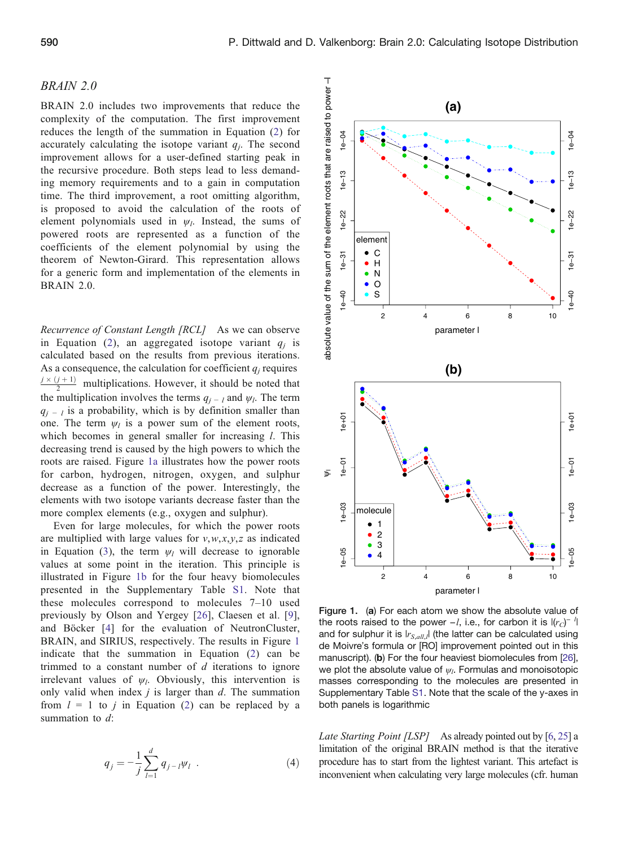#### <span id="page-2-0"></span>BRAIN 2.0

BRAIN 2.0 includes two improvements that reduce the complexity of the computation. The first improvement reduces the length of the summation in Equation ([2\)](#page-1-0) for accurately calculating the isotope variant  $q_i$ . The second improvement allows for a user-defined starting peak in the recursive procedure. Both steps lead to less demanding memory requirements and to a gain in computation time. The third improvement, a root omitting algorithm, is proposed to avoid the calculation of the roots of element polynomials used in  $\psi_l$ . Instead, the sums of powered roots are represented as a function of the coefficients of the element polynomial by using the theorem of Newton-Girard. This representation allows for a generic form and implementation of the elements in BRAIN 2.0.

Recurrence of Constant Length [RCL] As we can observe in Equation ([2](#page-1-0)), an aggregated isotope variant  $q_i$  is calculated based on the results from previous iterations. As a consequence, the calculation for coefficient  $q_i$  requires  $\frac{j \times (j+1)}{2}$  multiplications. However, it should be noted that the multiplication involves the terms  $q_{i-1}$  and  $\psi_i$ . The term  $q_{i-1}$  is a probability, which is by definition smaller than one. The term  $\psi_l$  is a power sum of the element roots, which becomes in general smaller for increasing *l*. This decreasing trend is caused by the high powers to which the roots are raised. Figure 1a illustrates how the power roots for carbon, hydrogen, nitrogen, oxygen, and sulphur decrease as a function of the power. Interestingly, the elements with two isotope variants decrease faster than the more complex elements (e.g., oxygen and sulphur).

Even for large molecules, for which the power roots are multiplied with large values for  $v, w, x, y, z$  as indicated in Equation [\(3](#page-1-0)), the term  $\psi_l$  will decrease to ignorable values at some point in the iteration. This principle is illustrated in Figure 1b for the four heavy biomolecules presented in the Supplementary Table S1. Note that these molecules correspond to molecules 7–10 used previously by Olson and Yergey [[26\]](#page-6-0), Claesen et al. [[9](#page-6-0)], and Böcker [\[4\]](#page-6-0) for the evaluation of NeutronCluster, BRAIN, and SIRIUS, respectively. The results in Figure 1 indicate that the summation in Equation ([2\)](#page-1-0) can be trimmed to a constant number of  $d$  iterations to ignore irrelevant values of  $\psi_l$ . Obviously, this intervention is only valid when index  $j$  is larger than  $d$ . The summation from  $l = 1$  to j in Equation [\(2\)](#page-1-0) can be replaced by a summation to d:

$$
q_j = -\frac{1}{j} \sum_{l=1}^d q_{j-l} \psi_l . \tag{4}
$$



Figure 1. (a) For each atom we show the absolute value of the roots raised to the power  $-l$ , i.e., for carbon it is  $|(r_C)^{-l}|$ and for sulphur it is  $|r_{S,all,l}|$  (the latter can be calculated using de Moivre's formula or [RO] improvement pointed out in this manuscript). (b) For the four heaviest biomolecules from [\[26](#page-6-0)], we plot the absolute value of  $\psi$ . Formulas and monoisotopic masses corresponding to the molecules are presented in Supplementary Table S1. Note that the scale of the y-axes in both panels is logarithmic

Late Starting Point [LSP] As already pointed out by [\[6,](#page-6-0) [25\]](#page-6-0) a limitation of the original BRAIN method is that the iterative procedure has to start from the lightest variant. This artefact is inconvenient when calculating very large molecules (cfr. human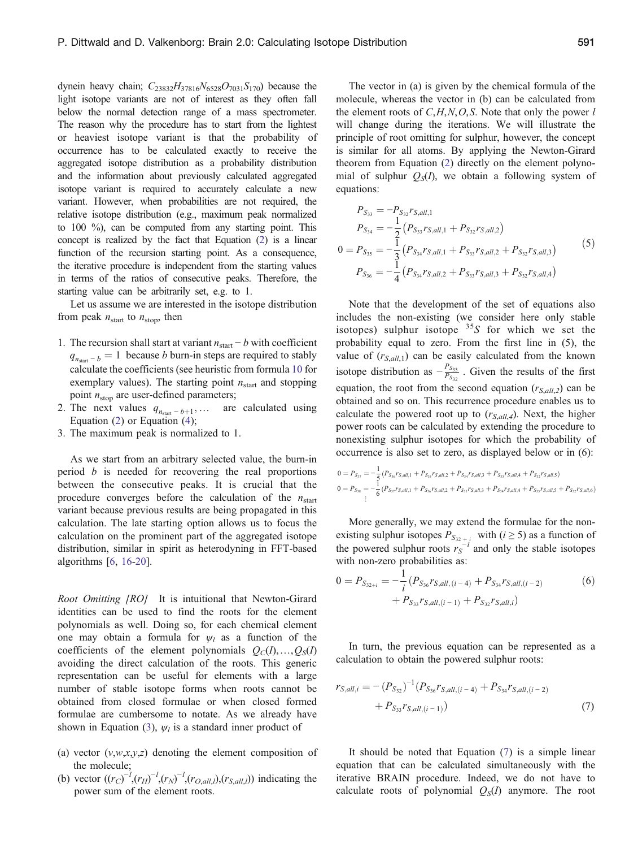dynein heavy chain;  $C_{23832}H_{37816}N_{6528}O_{7031}S_{170}$ ) because the light isotope variants are not of interest as they often fall below the normal detection range of a mass spectrometer. The reason why the procedure has to start from the lightest or heaviest isotope variant is that the probability of occurrence has to be calculated exactly to receive the aggregated isotope distribution as a probability distribution and the information about previously calculated aggregated isotope variant is required to accurately calculate a new variant. However, when probabilities are not required, the relative isotope distribution (e.g., maximum peak normalized to 100 %), can be computed from any starting point. This concept is realized by the fact that Equation [\(2\)](#page-1-0) is a linear function of the recursion starting point. As a consequence, the iterative procedure is independent from the starting values in terms of the ratios of consecutive peaks. Therefore, the starting value can be arbitrarily set, e.g. to 1.

Let us assume we are interested in the isotope distribution from peak  $n_{\text{start}}$  to  $n_{\text{stop}}$ , then

- 1. The recursion shall start at variant  $n_{\text{start}} b$  with coefficient  $q_{n_{\text{start}} - b} = 1$  because b burn-in steps are required to stably calculate the coefficients (see heuristic from formula [10](#page-4-0) for exemplary values). The starting point  $n_{\text{start}}$  and stopping point  $n_{\text{stop}}$  are user-defined parameters;
- 2. The next values  $q_{n_{\text{start}} b + 1}$ , … are calculated using Equation ([2\)](#page-1-0) or Equation ([4\)](#page-2-0);
- 3. The maximum peak is normalized to 1.

As we start from an arbitrary selected value, the burn-in period b is needed for recovering the real proportions between the consecutive peaks. It is crucial that the procedure converges before the calculation of the  $n_{start}$ variant because previous results are being propagated in this calculation. The late starting option allows us to focus the calculation on the prominent part of the aggregated isotope distribution, similar in spirit as heterodyning in FFT-based algorithms [[6](#page-6-0), [16-20](#page-6-0)].

Root Omitting [RO] It is intuitional that Newton-Girard identities can be used to find the roots for the element polynomials as well. Doing so, for each chemical element one may obtain a formula for  $\psi_l$  as a function of the coefficients of the element polynomials  $Q_C(I),...,Q_S(I)$ avoiding the direct calculation of the roots. This generic representation can be useful for elements with a large number of stable isotope forms when roots cannot be obtained from closed formulae or when closed formed formulae are cumbersome to notate. As we already have shown in Equation [\(3](#page-1-0)),  $\psi_l$  is a standard inner product of

- (a) vector  $(v, w, x, y, z)$  denoting the element composition of the molecule;
- (b) vector  $((r_C)^{-1}, (r_H)^{-1}, (r_N)^{-1}, (r_{O,all,l}), (r_{S,all,l}))$  indicating the power sum of the element roots.

The vector in (a) is given by the chemical formula of the molecule, whereas the vector in (b) can be calculated from the element roots of  $C, H, N, O, S$ . Note that only the power l will change during the iterations. We will illustrate the principle of root omitting for sulphur, however, the concept is similar for all atoms. By applying the Newton-Girard theorem from Equation [\(2](#page-1-0)) directly on the element polynomial of sulphur  $Q_s(I)$ , we obtain a following system of equations:

$$
P_{S_{33}} = -P_{S_{32}} r_{S,all,1}
$$
  
\n
$$
P_{S_{34}} = -\frac{1}{2} (P_{S_{33}} r_{S,all,1} + P_{S_{32}} r_{S,all,2})
$$
  
\n
$$
0 = P_{S_{35}} = -\frac{1}{3} (P_{S_{34}} r_{S,all,1} + P_{S_{33}} r_{S,all,2} + P_{S_{32}} r_{S,all,3})
$$
  
\n
$$
P_{S_{36}} = -\frac{1}{4} (P_{S_{34}} r_{S,all,2} + P_{S_{33}} r_{S,all,3} + P_{S_{32}} r_{S,all,4})
$$
\n(5)

Note that the development of the set of equations also includes the non-existing (we consider here only stable isotopes) sulphur isotope  $35S$  for which we set the probability equal to zero. From the first line in (5), the value of  $(r_{S,all,1})$  can be easily calculated from the known isotope distribution as  $-\frac{P_{S_{33}}}{P_{S_{32}}}$ . Given the results of the first equation, the root from the second equation  $(r_{S,all,2})$  can be obtained and so on. This recurrence procedure enables us to calculate the powered root up to  $(r_{S,all,4})$ . Next, the higher power roots can be calculated by extending the procedure to nonexisting sulphur isotopes for which the probability of occurrence is also set to zero, as displayed below or in (6):

$$
\begin{aligned} 0 &= P_{S_{37}} = -\frac{1}{5} \left( P_{S_{36}} r_{S,all,1} + P_{S_{35}} r_{S,all,2} + P_{S_{34}} r_{S,all,3} + P_{S_{33}} r_{S,all,4} + P_{S_{32}} r_{S,all,5} \right) \\ 0 &= P_{S_{38}} = -\frac{1}{6} \left( P_{S_{37}} r_{S,all,1} + P_{S_{36}} r_{S,all,2} + P_{S_{35}} r_{S,all,3} + P_{S_{34}} r_{S,all,4} + P_{S_{33}} r_{S,all,5} + P_{S_{32}} r_{S,all,6} \right) \\ &\vdots \end{aligned}
$$

More generally, we may extend the formulae for the nonexisting sulphur isotopes  $P_{S_{32+i}}$  with  $(i \geq 5)$  as a function of the powered sulphur roots  $r_S^{-i}$  and only the stable isotopes with non-zero probabilities as:

$$
0 = P_{S_{32+i}} = -\frac{1}{i} \left( P_{S_{36}} r_{S,all,(i-4)} + P_{S_{34}} r_{S,all,(i-2)} + P_{S_{33}} r_{S,all,(i-1)} + P_{S_{32}} r_{S,all,i} \right)
$$
(6)

In turn, the previous equation can be represented as a calculation to obtain the powered sulphur roots:

$$
r_{S,all,i} = -(P_{S_{32}})^{-1} (P_{S_{36}} r_{S,all,(i-4)} + P_{S_{34}} r_{S,all,(i-2)} + P_{S_{33}} r_{S,all,(i-1)})
$$
(7)

It should be noted that Equation (7) is a simple linear equation that can be calculated simultaneously with the iterative BRAIN procedure. Indeed, we do not have to calculate roots of polynomial  $Q<sub>s</sub>(I)$  anymore. The root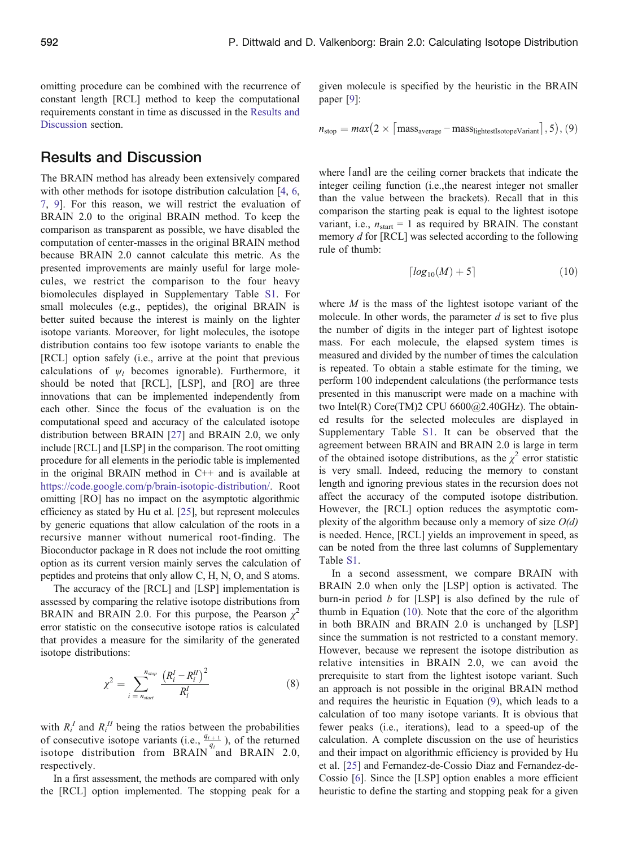<span id="page-4-0"></span>omitting procedure can be combined with the recurrence of constant length [RCL] method to keep the computational requirements constant in time as discussed in the Results and Discussion section.

#### Results and Discussion

The BRAIN method has already been extensively compared with other methods for isotope distribution calculation [\[4](#page-6-0), [6](#page-6-0), [7,](#page-6-0) [9\]](#page-6-0). For this reason, we will restrict the evaluation of BRAIN 2.0 to the original BRAIN method. To keep the comparison as transparent as possible, we have disabled the computation of center-masses in the original BRAIN method because BRAIN 2.0 cannot calculate this metric. As the presented improvements are mainly useful for large molecules, we restrict the comparison to the four heavy biomolecules displayed in Supplementary Table S1. For small molecules (e.g., peptides), the original BRAIN is better suited because the interest is mainly on the lighter isotope variants. Moreover, for light molecules, the isotope distribution contains too few isotope variants to enable the [RCL] option safely (i.e., arrive at the point that previous calculations of  $\psi_l$  becomes ignorable). Furthermore, it should be noted that [RCL], [LSP], and [RO] are three innovations that can be implemented independently from each other. Since the focus of the evaluation is on the computational speed and accuracy of the calculated isotope distribution between BRAIN [[27\]](#page-6-0) and BRAIN 2.0, we only include [RCL] and [LSP] in the comparison. The root omitting procedure for all elements in the periodic table is implemented in the original BRAIN method in  $C++$  and is available at <https://code.google.com/p/brain-isotopic-distribution/>. Root omitting [RO] has no impact on the asymptotic algorithmic efficiency as stated by Hu et al. [[25\]](#page-6-0), but represent molecules by generic equations that allow calculation of the roots in a recursive manner without numerical root-finding. The Bioconductor package in R does not include the root omitting option as its current version mainly serves the calculation of peptides and proteins that only allow C, H, N, O, and S atoms.

The accuracy of the [RCL] and [LSP] implementation is assessed by comparing the relative isotope distributions from BRAIN and BRAIN 2.0. For this purpose, the Pearson  $\chi^2$ error statistic on the consecutive isotope ratios is calculated that provides a measure for the similarity of the generated isotope distributions:

$$
\chi^{2} = \sum_{i \, = \, n_{start}}^{n_{stop}} \frac{\left(R_{i}^{I} - R_{i}^{II}\right)^{2}}{R_{i}^{I}}
$$
\n(8)

with  $R_i^I$  and  $R_i^I$  being the ratios between the probabilities of consecutive isotope variants (i.e.,  $\frac{q_{i+1}}{q_i}$ ), of the returned isotope distribution from BRAIN and BRAIN 2.0, respectively.

In a first assessment, the methods are compared with only the [RCL] option implemented. The stopping peak for a

given molecule is specified by the heuristic in the BRAIN paper [\[9](#page-6-0)]:

$$
n_{\text{stop}} = max(2 \times | \text{mass}_{\text{average}} - \text{mass}_{\text{lightestIsotope} \text{Variant}} |, 5), (9)
$$

where [and] are the ceiling corner brackets that indicate the integer ceiling function (i.e.,the nearest integer not smaller than the value between the brackets). Recall that in this comparison the starting peak is equal to the lightest isotope variant, i.e.,  $n_{\text{start}} = 1$  as required by BRAIN. The constant memory d for [RCL] was selected according to the following rule of thumb:

$$
\lceil \log_{10}(M) + 5 \rceil \tag{10}
$$

where  $M$  is the mass of the lightest isotope variant of the molecule. In other words, the parameter  $d$  is set to five plus the number of digits in the integer part of lightest isotope mass. For each molecule, the elapsed system times is measured and divided by the number of times the calculation is repeated. To obtain a stable estimate for the timing, we perform 100 independent calculations (the performance tests presented in this manuscript were made on a machine with two Intel(R) Core(TM)2 CPU 6600@2.40GHz). The obtained results for the selected molecules are displayed in Supplementary Table S1. It can be observed that the agreement between BRAIN and BRAIN 2.0 is large in term of the obtained isotope distributions, as the  $\chi^2$  error statistic is very small. Indeed, reducing the memory to constant length and ignoring previous states in the recursion does not affect the accuracy of the computed isotope distribution. However, the [RCL] option reduces the asymptotic complexity of the algorithm because only a memory of size  $O(d)$ is needed. Hence, [RCL] yields an improvement in speed, as can be noted from the three last columns of Supplementary Table S1.

In a second assessment, we compare BRAIN with BRAIN 2.0 when only the [LSP] option is activated. The burn-in period  $b$  for [LSP] is also defined by the rule of thumb in Equation (10). Note that the core of the algorithm in both BRAIN and BRAIN 2.0 is unchanged by [LSP] since the summation is not restricted to a constant memory. However, because we represent the isotope distribution as relative intensities in BRAIN 2.0, we can avoid the prerequisite to start from the lightest isotope variant. Such an approach is not possible in the original BRAIN method and requires the heuristic in Equation (9), which leads to a calculation of too many isotope variants. It is obvious that fewer peaks (i.e., iterations), lead to a speed-up of the calculation. A complete discussion on the use of heuristics and their impact on algorithmic efficiency is provided by Hu et al. [[25\]](#page-6-0) and Fernandez-de-Cossio Diaz and Fernandez-de-Cossio [[6\]](#page-6-0). Since the [LSP] option enables a more efficient heuristic to define the starting and stopping peak for a given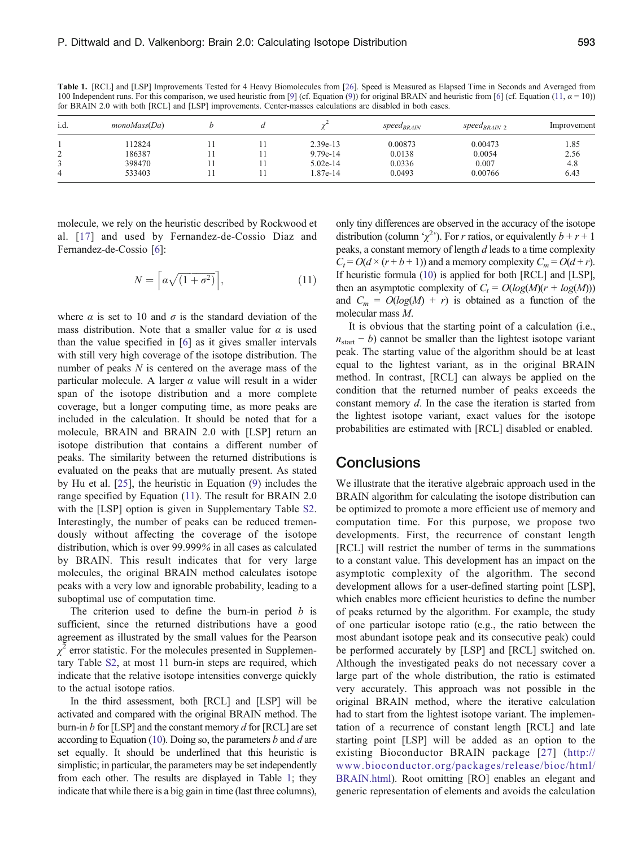Table 1. [RCL] and [LSP] Improvements Tested for 4 Heavy Biomolecules from [\[26](#page-6-0)]. Speed is Measured as Elapsed Time in Seconds and Averaged from 100 Independent runs. For this comparison, we used heuristic from [[9\]](#page-6-0) (cf. Equation [\(9](#page-4-0))) for original BRAIN and heuristic from [\[6](#page-6-0)] (cf. Equation (11,  $\alpha = 10$ )) for BRAIN 2.0 with both [RCL] and [LSP] improvements. Center-masses calculations are disabled in both cases.

| i.d. | monoMass(Da) |  |            | <i>speed</i> <sub>BRAIN</sub> | <i>speed<sub>BRAIN</sub></i> 2 | Improvement |
|------|--------------|--|------------|-------------------------------|--------------------------------|-------------|
|      | 12824        |  | $2.39e-13$ | 0.00873                       | 0.00473                        | 1.85        |
| ∼    | 186387       |  | $9.79e-14$ | 0.0138                        | 0.0054                         | 2.56        |
|      | 398470       |  | $5.02e-14$ | 0.0336                        | 0.007                          | 4.8         |
|      | 533403       |  | 1.87e-14   | 0.0493                        | 0.00766                        | 6.43        |

molecule, we rely on the heuristic described by Rockwood et al. [[17\]](#page-6-0) and used by Fernandez-de-Cossio Diaz and Fernandez-de-Cossio [\[6](#page-6-0)]:

$$
N = \left\lceil a\sqrt{(1 + \sigma^2)} \right\rceil, \tag{11}
$$

where  $\alpha$  is set to 10 and  $\sigma$  is the standard deviation of the mass distribution. Note that a smaller value for  $\alpha$  is used than the value specified in [[6\]](#page-6-0) as it gives smaller intervals with still very high coverage of the isotope distribution. The number of peaks  $N$  is centered on the average mass of the particular molecule. A larger  $\alpha$  value will result in a wider span of the isotope distribution and a more complete coverage, but a longer computing time, as more peaks are included in the calculation. It should be noted that for a molecule, BRAIN and BRAIN 2.0 with [LSP] return an isotope distribution that contains a different number of peaks. The similarity between the returned distributions is evaluated on the peaks that are mutually present. As stated by Hu et al. [[25\]](#page-6-0), the heuristic in Equation ([9\)](#page-4-0) includes the range specified by Equation (11). The result for BRAIN 2.0 with the [LSP] option is given in Supplementary Table S2. Interestingly, the number of peaks can be reduced tremendously without affecting the coverage of the isotope distribution, which is over 99.999% in all cases as calculated by BRAIN. This result indicates that for very large molecules, the original BRAIN method calculates isotope peaks with a very low and ignorable probability, leading to a suboptimal use of computation time.

The criterion used to define the burn-in period  $b$  is sufficient, since the returned distributions have a good agreement as illustrated by the small values for the Pearson  $\chi^2$  error statistic. For the molecules presented in Supplementary Table S2, at most 11 burn-in steps are required, which indicate that the relative isotope intensities converge quickly to the actual isotope ratios.

In the third assessment, both [RCL] and [LSP] will be activated and compared with the original BRAIN method. The burn-in b for [LSP] and the constant memory  $d$  for [RCL] are set according to Equation [\(10](#page-4-0)). Doing so, the parameters b and d are set equally. It should be underlined that this heuristic is simplistic; in particular, the parameters may be set independently from each other. The results are displayed in Table 1; they indicate that while there is a big gain in time (last three columns),

only tiny differences are observed in the accuracy of the isotope distribution (column ' $\chi^2$ '). For r ratios, or equivalently  $b + r + 1$ peaks, a constant memory of length d leads to a time complexity  $C_t = O(d \times (r + b + 1))$  and a memory complexity  $C_m = O(d + r)$ . If heuristic formula [\(10](#page-4-0)) is applied for both [RCL] and [LSP], then an asymptotic complexity of  $C_t = O(log(M)(r + log(M)))$ and  $C_m = O(log(M) + r)$  is obtained as a function of the molecular mass M.

It is obvious that the starting point of a calculation (i.e.,  $n_{\text{start}} - b$ ) cannot be smaller than the lightest isotope variant peak. The starting value of the algorithm should be at least equal to the lightest variant, as in the original BRAIN method. In contrast, [RCL] can always be applied on the condition that the returned number of peaks exceeds the constant memory  $d$ . In the case the iteration is started from the lightest isotope variant, exact values for the isotope probabilities are estimated with [RCL] disabled or enabled.

#### **Conclusions**

We illustrate that the iterative algebraic approach used in the BRAIN algorithm for calculating the isotope distribution can be optimized to promote a more efficient use of memory and computation time. For this purpose, we propose two developments. First, the recurrence of constant length [RCL] will restrict the number of terms in the summations to a constant value. This development has an impact on the asymptotic complexity of the algorithm. The second development allows for a user-defined starting point [LSP], which enables more efficient heuristics to define the number of peaks returned by the algorithm. For example, the study of one particular isotope ratio (e.g., the ratio between the most abundant isotope peak and its consecutive peak) could be performed accurately by [LSP] and [RCL] switched on. Although the investigated peaks do not necessary cover a large part of the whole distribution, the ratio is estimated very accurately. This approach was not possible in the original BRAIN method, where the iterative calculation had to start from the lightest isotope variant. The implementation of a recurrence of constant length [RCL] and late starting point [LSP] will be added as an option to the existing Bioconductor BRAIN package [[27](#page-6-0)] ([http://](http://www.bioconductor.org/packages/release/bioc/html/BRAIN.html) [www.bioconductor.org/packages/release/bioc/html/](http://www.bioconductor.org/packages/release/bioc/html/BRAIN.html) [BRAIN.html](http://www.bioconductor.org/packages/release/bioc/html/BRAIN.html)). Root omitting [RO] enables an elegant and generic representation of elements and avoids the calculation